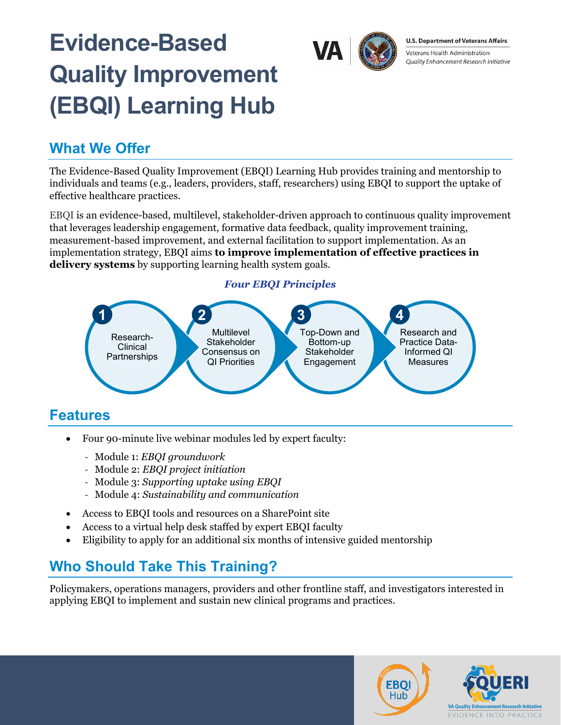# **Evidence-Based Quality Improvement (EBQI) Learning Hub**



#### **U.S. Department of Veterans Affairs**

Veterans Health Administration Quality Enhancement Research Initiative

#### **What We Offer**

The Evidence-Based Quality Improvement (EBQI) Learning Hub provides training and mentorship to individuals and teams (e.g., leaders, providers, staff, researchers) using EBQI to support the uptake of effective healthcare practices.

EBQI is an evidence-based, multilevel, stakeholder-driven approach to continuous quality improvement that leverages leadership engagement, formative data feedback, quality improvement training, measurement-based improvement, and external facilitation to support implementation. As an implementation strategy, EBQI aims **to improve implementation of effective practices in delivery systems** by supporting learning health system goals.

#### *Four EBQI Principles*



- Four 90-minute live webinar modules led by expert faculty:
	- ̵ Module 1: *EBQI groundwork*
	- ̵ Module 2: *EBQI project initiation*
	- Module 3: *Supporting uptake using EBQI*
	- ̵ Module 4: *Sustainability and communication*
- Access to EBQI tools and resources on a SharePoint site
- Access to a virtual help desk staffed by expert EBQI faculty
- Eligibility to apply for an additional six months of intensive guided mentorship

### **Who Should Take This Training?**

Policymakers, operations managers, providers and other frontline staff, and investigators interested in applying EBQI to implement and sustain new clinical programs and practices.